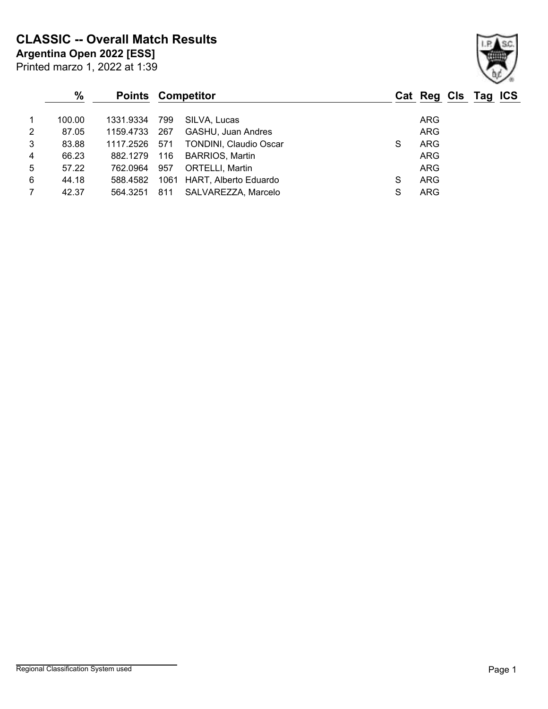**CLASSIC -- Overall Match Results**

**Argentina Open 2022 [ESS]**

|                 | $\%$   | <b>Points Competitor</b> |     |                               |   | Cat Reg Cls Tag ICS |  |
|-----------------|--------|--------------------------|-----|-------------------------------|---|---------------------|--|
| $\mathbf{1}$    | 100.00 | 1331.9334                | 799 | SILVA, Lucas                  |   | <b>ARG</b>          |  |
| $\overline{2}$  | 87.05  | 1159.4733                | 267 | GASHU, Juan Andres            |   | <b>ARG</b>          |  |
| $\mathbf{3}$    | 83.88  | 1117.2526 571            |     | <b>TONDINI, Claudio Oscar</b> | S | <b>ARG</b>          |  |
| $\overline{4}$  | 66.23  | 882.1279                 | 116 | <b>BARRIOS, Martin</b>        |   | <b>ARG</b>          |  |
| $5\phantom{.0}$ | 57.22  | 762.0964                 | 957 | <b>ORTELLI, Martin</b>        |   | ARG                 |  |
| 6               | 44.18  | 588.4582                 |     | 1061 HART, Alberto Eduardo    | S | <b>ARG</b>          |  |
| $\overline{7}$  | 42.37  | 564.3251                 | 811 | SALVAREZZA, Marcelo           | S | <b>ARG</b>          |  |

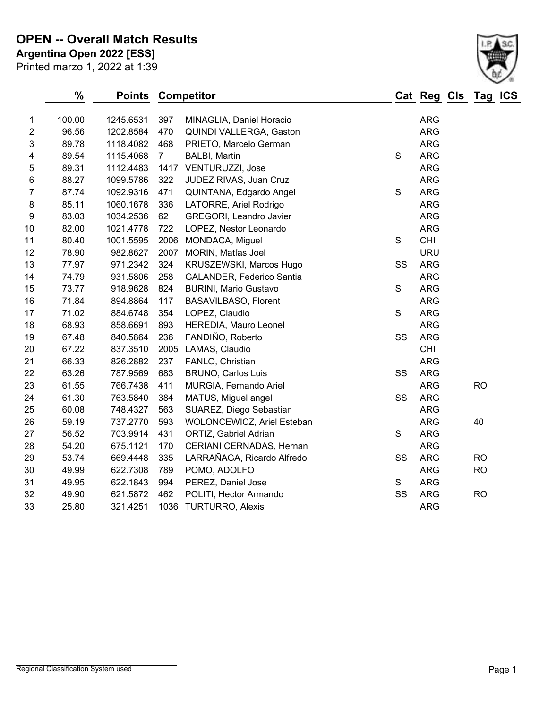**OPEN -- Overall Match Results**

Printed marzo 1, 2022 at 1:39 **Argentina Open 2022 [ESS]**



|                  | %      | <b>Points</b> |                | <b>Competitor</b>            |               | <b>Cat Reg Cls</b> | Ta <u>g</u> | <b>ICS</b> |
|------------------|--------|---------------|----------------|------------------------------|---------------|--------------------|-------------|------------|
| 1                | 100.00 | 1245.6531     | 397            | MINAGLIA, Daniel Horacio     |               | <b>ARG</b>         |             |            |
| $\overline{2}$   | 96.56  | 1202.8584     | 470            | QUINDI VALLERGA, Gaston      |               | <b>ARG</b>         |             |            |
| 3                | 89.78  | 1118.4082     | 468            | PRIETO, Marcelo German       |               | <b>ARG</b>         |             |            |
| 4                | 89.54  | 1115.4068     | 7 <sup>7</sup> | <b>BALBI, Martin</b>         | S             | <b>ARG</b>         |             |            |
| 5                | 89.31  | 1112.4483     | 1417           | VENTURUZZI, Jose             |               | <b>ARG</b>         |             |            |
| 6                | 88.27  | 1099.5786     | 322            | JUDEZ RIVAS, Juan Cruz       |               | <b>ARG</b>         |             |            |
| 7                | 87.74  | 1092.9316     | 471            | QUINTANA, Edgardo Angel      | S             | <b>ARG</b>         |             |            |
| 8                | 85.11  | 1060.1678     | 336            | LATORRE, Ariel Rodrigo       |               | <b>ARG</b>         |             |            |
| $\boldsymbol{9}$ | 83.03  | 1034.2536     | 62             | GREGORI, Leandro Javier      |               | <b>ARG</b>         |             |            |
| 10               | 82.00  | 1021.4778     | 722            | LOPEZ, Nestor Leonardo       |               | <b>ARG</b>         |             |            |
| 11               | 80.40  | 1001.5595     | 2006           | MONDACA, Miguel              | S             | CHI                |             |            |
| 12               | 78.90  | 982.8627      | 2007           | MORIN, Matías Joel           |               | <b>URU</b>         |             |            |
| 13               | 77.97  | 971.2342      | 324            | KRUSZEWSKI, Marcos Hugo      | SS            | <b>ARG</b>         |             |            |
| 14               | 74.79  | 931.5806      | 258            | GALANDER, Federico Santia    |               | <b>ARG</b>         |             |            |
| 15               | 73.77  | 918.9628      | 824            | <b>BURINI, Mario Gustavo</b> | S             | <b>ARG</b>         |             |            |
| 16               | 71.84  | 894.8864      | 117            | <b>BASAVILBASO, Florent</b>  |               | <b>ARG</b>         |             |            |
| 17               | 71.02  | 884.6748      | 354            | LOPEZ, Claudio               | S             | <b>ARG</b>         |             |            |
| 18               | 68.93  | 858.6691      | 893            | HEREDIA, Mauro Leonel        |               | <b>ARG</b>         |             |            |
| 19               | 67.48  | 840.5864      | 236            | FANDIÑO, Roberto             | SS            | <b>ARG</b>         |             |            |
| 20               | 67.22  | 837.3510      | 2005           | LAMAS, Claudio               |               | <b>CHI</b>         |             |            |
| 21               | 66.33  | 826.2882      | 237            | FANLO, Christian             |               | <b>ARG</b>         |             |            |
| 22               | 63.26  | 787.9569      | 683            | <b>BRUNO, Carlos Luis</b>    | SS            | <b>ARG</b>         |             |            |
| 23               | 61.55  | 766.7438      | 411            | MURGIA, Fernando Ariel       |               | ARG                | <b>RO</b>   |            |
| 24               | 61.30  | 763.5840      | 384            | MATUS, Miguel angel          | SS            | <b>ARG</b>         |             |            |
| 25               | 60.08  | 748.4327      | 563            | SUAREZ, Diego Sebastian      |               | ARG                |             |            |
| 26               | 59.19  | 737.2770      | 593            | WOLONCEWICZ, Ariel Esteban   |               | <b>ARG</b>         | 40          |            |
| 27               | 56.52  | 703.9914      | 431            | ORTIZ, Gabriel Adrian        | S             | <b>ARG</b>         |             |            |
| 28               | 54.20  | 675.1121      | 170            | CERIANI CERNADAS, Hernan     |               | <b>ARG</b>         |             |            |
| 29               | 53.74  | 669.4448      | 335            | LARRAÑAGA, Ricardo Alfredo   | SS            | <b>ARG</b>         | <b>RO</b>   |            |
| 30               | 49.99  | 622.7308      | 789            | POMO, ADOLFO                 |               | <b>ARG</b>         | <b>RO</b>   |            |
| 31               | 49.95  | 622.1843      | 994            | PEREZ, Daniel Jose           | ${\mathsf S}$ | <b>ARG</b>         |             |            |
| 32               | 49.90  | 621.5872      | 462            | POLITI, Hector Armando       | SS            | <b>ARG</b>         | <b>RO</b>   |            |
| 33               | 25.80  | 321.4251      | 1036           | <b>TURTURRO, Alexis</b>      |               | <b>ARG</b>         |             |            |
|                  |        |               |                |                              |               |                    |             |            |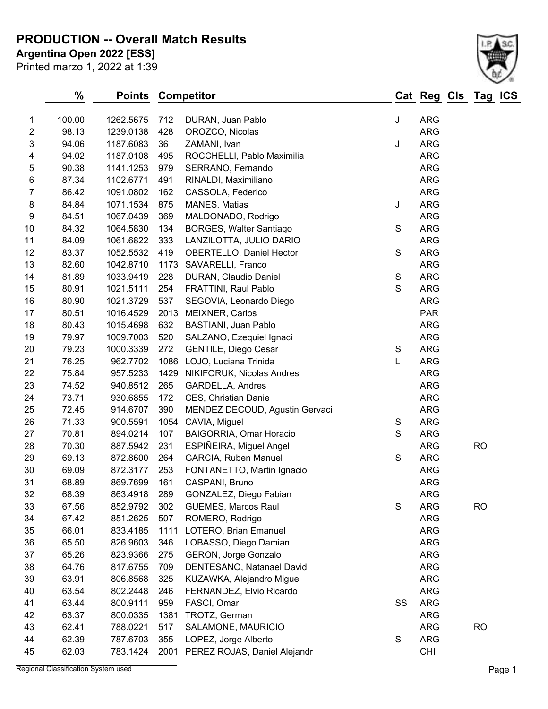## **PRODUCTION -- Overall Match Results**

**Argentina Open 2022 [ESS]**

| Printed marzo 1, 2022 at 1:39 |  |  |  |  |
|-------------------------------|--|--|--|--|
|-------------------------------|--|--|--|--|



|                | %      | <b>Points</b> |      | <b>Competitor</b>                 |             | Cat Reg Cls Tag ICS |           |  |
|----------------|--------|---------------|------|-----------------------------------|-------------|---------------------|-----------|--|
| 1              | 100.00 | 1262.5675     | 712  | DURAN, Juan Pablo                 | J           | <b>ARG</b>          |           |  |
| $\overline{2}$ | 98.13  | 1239.0138     | 428  | OROZCO, Nicolas                   |             | <b>ARG</b>          |           |  |
| 3              | 94.06  | 1187.6083     | 36   | ZAMANI, Ivan                      | J           | <b>ARG</b>          |           |  |
| 4              | 94.02  | 1187.0108     | 495  | ROCCHELLI, Pablo Maximilia        |             | <b>ARG</b>          |           |  |
| 5              | 90.38  | 1141.1253     | 979  | SERRANO, Fernando                 |             | <b>ARG</b>          |           |  |
| 6              | 87.34  | 1102.6771     | 491  | RINALDI, Maximiliano              |             | <b>ARG</b>          |           |  |
| $\overline{7}$ | 86.42  | 1091.0802     | 162  | CASSOLA, Federico                 |             | <b>ARG</b>          |           |  |
| 8              | 84.84  | 1071.1534     | 875  | MANES, Matias                     | J           | <b>ARG</b>          |           |  |
| 9              | 84.51  | 1067.0439     | 369  | MALDONADO, Rodrigo                |             | <b>ARG</b>          |           |  |
| 10             | 84.32  | 1064.5830     | 134  | <b>BORGES, Walter Santiago</b>    | S           | <b>ARG</b>          |           |  |
| 11             | 84.09  | 1061.6822     | 333  | LANZILOTTA, JULIO DARIO           |             | <b>ARG</b>          |           |  |
| 12             | 83.37  | 1052.5532     | 419  | <b>OBERTELLO, Daniel Hector</b>   | $\mathsf S$ | <b>ARG</b>          |           |  |
| 13             | 82.60  | 1042.8710     | 1173 | SAVARELLI, Franco                 |             | <b>ARG</b>          |           |  |
| 14             | 81.89  | 1033.9419     | 228  | DURAN, Claudio Daniel             | $\mathsf S$ | <b>ARG</b>          |           |  |
| 15             | 80.91  | 1021.5111     | 254  | FRATTINI, Raul Pablo              | $\mathbf S$ | <b>ARG</b>          |           |  |
| 16             | 80.90  | 1021.3729     | 537  | SEGOVIA, Leonardo Diego           |             | <b>ARG</b>          |           |  |
| 17             | 80.51  | 1016.4529     | 2013 | <b>MEIXNER, Carlos</b>            |             | <b>PAR</b>          |           |  |
| 18             | 80.43  | 1015.4698     | 632  | <b>BASTIANI, Juan Pablo</b>       |             | <b>ARG</b>          |           |  |
| 19             | 79.97  | 1009.7003     | 520  | SALZANO, Ezequiel Ignaci          |             | <b>ARG</b>          |           |  |
| 20             | 79.23  | 1000.3339     | 272  | <b>GENTILE, Diego Cesar</b>       | S           | <b>ARG</b>          |           |  |
| 21             | 76.25  | 962.7702      | 1086 | LOJO, Luciana Trinida             | L           | <b>ARG</b>          |           |  |
| 22             | 75.84  | 957.5233      | 1429 | NIKIFORUK, Nicolas Andres         |             | <b>ARG</b>          |           |  |
| 23             | 74.52  | 940.8512      | 265  | GARDELLA, Andres                  |             | <b>ARG</b>          |           |  |
| 24             | 73.71  | 930.6855      | 172  | CES, Christian Danie              |             | <b>ARG</b>          |           |  |
| 25             | 72.45  | 914.6707      | 390  | MENDEZ DECOUD, Agustin Gervaci    |             | <b>ARG</b>          |           |  |
| 26             | 71.33  | 900.5591      | 1054 | CAVIA, Miguel                     | S           | <b>ARG</b>          |           |  |
| 27             | 70.81  | 894.0214      | 107  | BAIGORRIA, Omar Horacio           | $\mathsf S$ | <b>ARG</b>          |           |  |
| 28             | 70.30  | 887.5942      | 231  | ESPIÑEIRA, Miguel Angel           |             | <b>ARG</b>          | <b>RO</b> |  |
| 29             | 69.13  | 872.8600      | 264  | <b>GARCIA, Ruben Manuel</b>       | S           | <b>ARG</b>          |           |  |
| 30             | 69.09  | 872.3177      | 253  | FONTANETTO, Martin Ignacio        |             | ARG                 |           |  |
| 31             | 68.89  | 869.7699      | 161  | CASPANI, Bruno                    |             | <b>ARG</b>          |           |  |
| 32             | 68.39  | 863.4918      | 289  | GONZALEZ, Diego Fabian            |             | <b>ARG</b>          |           |  |
| 33             | 67.56  | 852.9792      | 302  | <b>GUEMES, Marcos Raul</b>        | S           | <b>ARG</b>          | <b>RO</b> |  |
| 34             | 67.42  | 851.2625      | 507  | ROMERO, Rodrigo                   |             | ARG                 |           |  |
| 35             | 66.01  | 833.4185      | 1111 | LOTERO, Brian Emanuel             |             | ARG                 |           |  |
| 36             | 65.50  | 826.9603      | 346  | LOBASSO, Diego Damian             |             | <b>ARG</b>          |           |  |
| 37             | 65.26  | 823.9366      | 275  | GERON, Jorge Gonzalo              |             | <b>ARG</b>          |           |  |
| 38             | 64.76  | 817.6755      | 709  | DENTESANO, Natanael David         |             | <b>ARG</b>          |           |  |
| 39             | 63.91  | 806.8568      | 325  | KUZAWKA, Alejandro Migue          |             | <b>ARG</b>          |           |  |
| 40             | 63.54  | 802.2448      | 246  | FERNANDEZ, Elvio Ricardo          |             | <b>ARG</b>          |           |  |
| 41             | 63.44  | 800.9111      | 959  | FASCI, Omar                       | SS          | <b>ARG</b>          |           |  |
| 42             | 63.37  | 800.0335      | 1381 | TROTZ, German                     |             | ARG                 |           |  |
| 43             | 62.41  | 788.0221      | 517  | SALAMONE, MAURICIO                |             | <b>ARG</b>          | <b>RO</b> |  |
| 44             | 62.39  | 787.6703      | 355  | LOPEZ, Jorge Alberto              | S           | <b>ARG</b>          |           |  |
| 45             | 62.03  | 783.1424      |      | 2001 PEREZ ROJAS, Daniel Alejandr |             | <b>CHI</b>          |           |  |

Regional Classification System used **Page 1**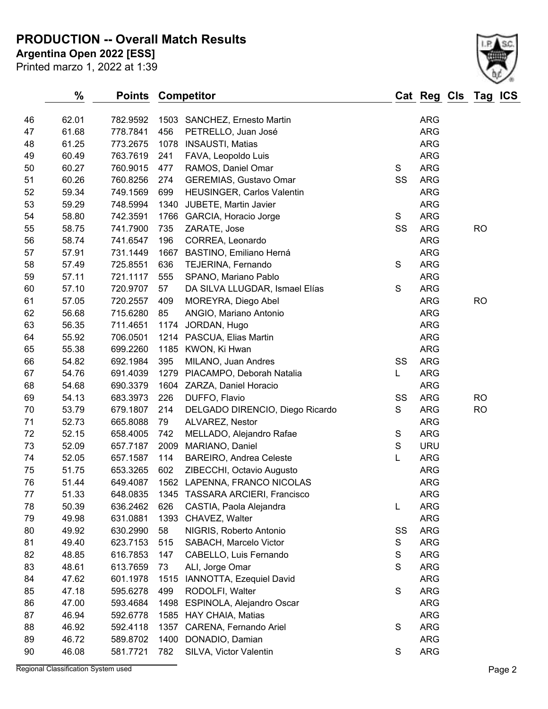**PRODUCTION -- Overall Match Results**

Printed marzo 1, 2022 at 1:39 **Argentina Open 2022 [ESS]**

|    | $\%$  | Points   |      | <b>Competitor</b>                 |               | Cat Reg Cls | Tag IC    |
|----|-------|----------|------|-----------------------------------|---------------|-------------|-----------|
| 46 | 62.01 | 782.9592 |      | 1503 SANCHEZ, Ernesto Martin      |               | <b>ARG</b>  |           |
| 47 | 61.68 | 778.7841 | 456  | PETRELLO, Juan José               |               | <b>ARG</b>  |           |
| 48 | 61.25 | 773.2675 | 1078 | <b>INSAUSTI, Matias</b>           |               | <b>ARG</b>  |           |
| 49 | 60.49 | 763.7619 | 241  | FAVA, Leopoldo Luis               |               | <b>ARG</b>  |           |
| 50 | 60.27 | 760.9015 | 477  | RAMOS, Daniel Omar                | $\mathbf S$   | <b>ARG</b>  |           |
| 51 | 60.26 | 760.8256 | 274  | <b>GEREMIAS, Gustavo Omar</b>     | SS            | <b>ARG</b>  |           |
| 52 | 59.34 | 749.1569 | 699  | <b>HEUSINGER, Carlos Valentin</b> |               | <b>ARG</b>  |           |
| 53 | 59.29 | 748.5994 | 1340 | <b>JUBETE, Martin Javier</b>      |               | <b>ARG</b>  |           |
| 54 | 58.80 | 742.3591 |      | 1766 GARCIA, Horacio Jorge        | $\mathbf S$   | <b>ARG</b>  |           |
| 55 | 58.75 | 741.7900 | 735  | ZARATE, Jose                      | SS            | <b>ARG</b>  | <b>RO</b> |
| 56 | 58.74 | 741.6547 | 196  | CORREA, Leonardo                  |               | <b>ARG</b>  |           |
| 57 | 57.91 | 731.1449 | 1667 | BASTINO, Emiliano Herná           |               | <b>ARG</b>  |           |
| 58 | 57.49 | 725.8551 | 636  | TEJERINA, Fernando                | $\mathsf S$   | ARG         |           |
| 59 | 57.11 | 721.1117 | 555  | SPANO, Mariano Pablo              |               | <b>ARG</b>  |           |
| 60 | 57.10 | 720.9707 | 57   | DA SILVA LLUGDAR, Ismael Elías    | S             | <b>ARG</b>  |           |
| 61 | 57.05 | 720.2557 | 409  | MOREYRA, Diego Abel               |               | <b>ARG</b>  | <b>RO</b> |
| 62 | 56.68 | 715.6280 | 85   | ANGIO, Mariano Antonio            |               | <b>ARG</b>  |           |
| 63 | 56.35 | 711.4651 | 1174 | JORDAN, Hugo                      |               | <b>ARG</b>  |           |
| 64 | 55.92 | 706.0501 | 1214 | PASCUA, Elias Martin              |               | <b>ARG</b>  |           |
| 65 | 55.38 | 699.2260 |      | 1185 KWON, Ki Hwan                |               | <b>ARG</b>  |           |
| 66 | 54.82 | 692.1984 | 395  | MILANO, Juan Andres               | SS            | <b>ARG</b>  |           |
| 67 | 54.76 | 691.4039 | 1279 | PIACAMPO, Deborah Natalia         | L             | <b>ARG</b>  |           |
| 68 | 54.68 | 690.3379 |      | 1604 ZARZA, Daniel Horacio        |               | <b>ARG</b>  |           |
| 69 | 54.13 | 683.3973 | 226  | DUFFO, Flavio                     | SS            | <b>ARG</b>  | <b>RO</b> |
| 70 | 53.79 | 679.1807 | 214  | DELGADO DIRENCIO, Diego Ricardo   | $\mathsf S$   | ARG         | <b>RO</b> |
| 71 | 52.73 | 665.8088 | 79   | ALVAREZ, Nestor                   |               | <b>ARG</b>  |           |
| 72 | 52.15 | 658.4005 | 742  | MELLADO, Alejandro Rafae          | ${\mathsf S}$ | ARG         |           |
| 73 | 52.09 | 657.7187 | 2009 | MARIANO, Daniel                   | $\mathsf S$   | <b>URU</b>  |           |
| 74 | 52.05 | 657.1587 | 114  | <b>BAREIRO, Andrea Celeste</b>    | L             | ARG         |           |
| 75 | 51.75 | 653.3265 | 602  | ZIBECCHI, Octavio Augusto         |               | <b>ARG</b>  |           |
| 76 | 51.44 | 649.4087 |      | 1562 LAPENNA, FRANCO NICOLAS      |               | <b>ARG</b>  |           |
| 77 | 51.33 | 648.0835 | 1345 | <b>TASSARA ARCIERI, Francisco</b> |               | <b>ARG</b>  |           |
| 78 | 50.39 | 636.2462 | 626  | CASTIA, Paola Alejandra           | L             | ARG         |           |
| 79 | 49.98 | 631.0881 | 1393 | CHAVEZ, Walter                    |               | ARG         |           |
| 80 | 49.92 | 630.2990 | 58   | NIGRIS, Roberto Antonio           | SS            | <b>ARG</b>  |           |
| 81 | 49.40 | 623.7153 | 515  | SABACH, Marcelo Victor            | S             | ARG         |           |
| 82 | 48.85 | 616.7853 | 147  | CABELLO, Luis Fernando            | $\mathbb S$   | ARG         |           |
| 83 | 48.61 | 613.7659 | 73   | ALI, Jorge Omar                   | S             | ARG         |           |
| 84 | 47.62 | 601.1978 | 1515 | IANNOTTA, Ezequiel David          |               | ARG         |           |
| 85 | 47.18 | 595.6278 | 499  | RODOLFI, Walter                   | $\mathsf S$   | <b>ARG</b>  |           |
| 86 | 47.00 | 593.4684 | 1498 | ESPINOLA, Alejandro Oscar         |               | ARG         |           |
| 87 | 46.94 | 592.6778 | 1585 | HAY CHAIA, Matias                 |               | ARG         |           |
| 88 | 46.92 | 592.4118 | 1357 | CARENA, Fernando Ariel            | $\mathbf S$   | <b>ARG</b>  |           |
| 89 | 46.72 | 589.8702 | 1400 | DONADIO, Damian                   |               | ARG         |           |
| 90 | 46.08 | 581.7721 | 782  | SILVA, Victor Valentin            | ${\mathsf S}$ | ARG         |           |

Regional Classification System used **Page 2**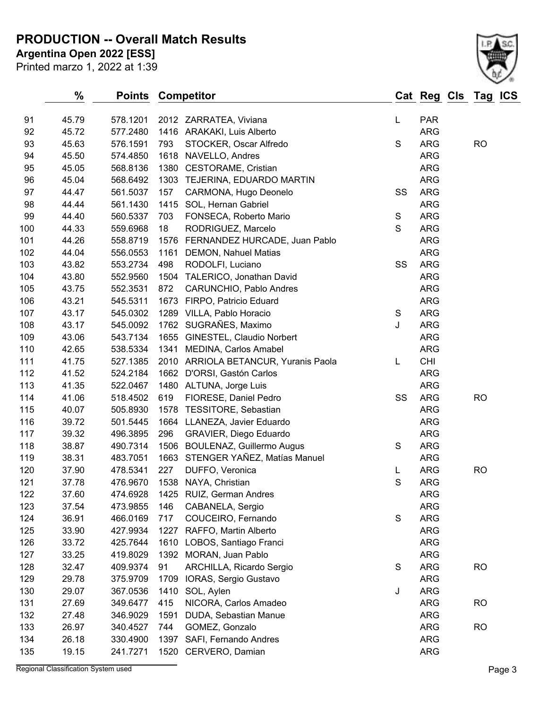## **PRODUCTION -- Overall Match Results**

**Argentina Open 2022 [ESS]**

| Printed marzo 1, 2022 at 1:39 |  |  |
|-------------------------------|--|--|
|-------------------------------|--|--|



|     | ℅     | <b>Points</b> |      | <b>Competitor</b>                    |             | Cat Reg Cls Tag ICS |           |  |
|-----|-------|---------------|------|--------------------------------------|-------------|---------------------|-----------|--|
| 91  | 45.79 | 578.1201      |      | 2012 ZARRATEA, Viviana               | L           | <b>PAR</b>          |           |  |
| 92  | 45.72 | 577.2480      |      | 1416 ARAKAKI, Luis Alberto           |             | <b>ARG</b>          |           |  |
| 93  | 45.63 | 576.1591      | 793  | STOCKER, Oscar Alfredo               | $\mathsf S$ | <b>ARG</b>          | <b>RO</b> |  |
| 94  | 45.50 | 574.4850      | 1618 | NAVELLO, Andres                      |             | <b>ARG</b>          |           |  |
| 95  | 45.05 | 568.8136      | 1380 | <b>CESTORAME, Cristian</b>           |             | <b>ARG</b>          |           |  |
| 96  | 45.04 | 568.6492      | 1303 | TEJERINA, EDUARDO MARTIN             |             | <b>ARG</b>          |           |  |
| 97  | 44.47 | 561.5037      | 157  | CARMONA, Hugo Deonelo                | SS          | <b>ARG</b>          |           |  |
| 98  | 44.44 | 561.1430      | 1415 | SOL, Hernan Gabriel                  |             | <b>ARG</b>          |           |  |
| 99  | 44.40 | 560.5337      | 703  | FONSECA, Roberto Mario               | $\mathbf S$ | <b>ARG</b>          |           |  |
| 100 | 44.33 | 559.6968      | 18   | RODRIGUEZ, Marcelo                   | $\mathbf S$ | <b>ARG</b>          |           |  |
| 101 | 44.26 | 558.8719      | 1576 | FERNANDEZ HURCADE, Juan Pablo        |             | <b>ARG</b>          |           |  |
| 102 | 44.04 | 556.0553      | 1161 | <b>DEMON, Nahuel Matias</b>          |             | <b>ARG</b>          |           |  |
| 103 | 43.82 | 553.2734      | 498  | RODOLFI, Luciano                     | SS          | <b>ARG</b>          |           |  |
| 104 | 43.80 | 552.9560      | 1504 | TALERICO, Jonathan David             |             | <b>ARG</b>          |           |  |
| 105 | 43.75 | 552.3531      | 872  | CARUNCHIO, Pablo Andres              |             | <b>ARG</b>          |           |  |
| 106 | 43.21 | 545.5311      | 1673 | FIRPO, Patricio Eduard               |             | <b>ARG</b>          |           |  |
| 107 | 43.17 | 545.0302      |      | 1289 VILLA, Pablo Horacio            | S           | <b>ARG</b>          |           |  |
| 108 | 43.17 | 545.0092      |      | 1762 SUGRAÑES, Maximo                | J           | <b>ARG</b>          |           |  |
| 109 | 43.06 | 543.7134      |      | 1655 GINESTEL, Claudio Norbert       |             | <b>ARG</b>          |           |  |
| 110 | 42.65 | 538.5334      | 1341 | MEDINA, Carlos Amabel                |             | <b>ARG</b>          |           |  |
| 111 | 41.75 | 527.1385      |      | 2010 ARRIOLA BETANCUR, Yuranis Paola | L           | <b>CHI</b>          |           |  |
| 112 | 41.52 | 524.2184      | 1662 | D'ORSI, Gastón Carlos                |             | <b>ARG</b>          |           |  |
| 113 | 41.35 | 522.0467      |      | 1480 ALTUNA, Jorge Luis              |             | <b>ARG</b>          |           |  |
| 114 | 41.06 | 518.4502      | 619  | FIORESE, Daniel Pedro                | SS          | <b>ARG</b>          | <b>RO</b> |  |
| 115 | 40.07 | 505.8930      |      | 1578 TESSITORE, Sebastian            |             | <b>ARG</b>          |           |  |
| 116 | 39.72 | 501.5445      |      | 1664 LLANEZA, Javier Eduardo         |             | <b>ARG</b>          |           |  |
| 117 | 39.32 | 496.3895      | 296  | GRAVIER, Diego Eduardo               |             | <b>ARG</b>          |           |  |
| 118 | 38.87 | 490.7314      | 1506 | <b>BOULENAZ, Guillermo Augus</b>     | S           | <b>ARG</b>          |           |  |
| 119 | 38.31 | 483.7051      | 1663 | STENGER YAÑEZ, Matías Manuel         |             | <b>ARG</b>          |           |  |
| 120 | 37.90 | 478.5341      | 227  | DUFFO, Veronica                      | L           | <b>ARG</b>          | <b>RO</b> |  |
| 121 | 37.78 | 476.9670      |      | 1538 NAYA, Christian                 | $\mathsf S$ | <b>ARG</b>          |           |  |
| 122 | 37.60 | 474.6928      |      | 1425 RUIZ, German Andres             |             | <b>ARG</b>          |           |  |
| 123 | 37.54 | 473.9855      | 146  | CABANELA, Sergio                     |             | <b>ARG</b>          |           |  |
| 124 | 36.91 | 466.0169      | 717  | COUCEIRO, Fernando                   | S           | <b>ARG</b>          |           |  |
| 125 | 33.90 | 427.9934      | 1227 | RAFFO, Martin Alberto                |             | <b>ARG</b>          |           |  |
| 126 | 33.72 | 425.7644      | 1610 | LOBOS, Santiago Franci               |             | <b>ARG</b>          |           |  |
| 127 | 33.25 | 419.8029      | 1392 | MORAN, Juan Pablo                    |             | <b>ARG</b>          |           |  |
| 128 | 32.47 | 409.9374      | 91   | ARCHILLA, Ricardo Sergio             | S           | <b>ARG</b>          | <b>RO</b> |  |
| 129 | 29.78 | 375.9709      | 1709 | IORAS, Sergio Gustavo                |             | <b>ARG</b>          |           |  |
| 130 | 29.07 | 367.0536      | 1410 | SOL, Aylen                           | J           | <b>ARG</b>          |           |  |
| 131 | 27.69 | 349.6477      | 415  | NICORA, Carlos Amadeo                |             | <b>ARG</b>          | <b>RO</b> |  |
| 132 | 27.48 | 346.9029      | 1591 | DUDA, Sebastian Manue                |             | <b>ARG</b>          |           |  |
| 133 | 26.97 | 340.4527      | 744  | GOMEZ, Gonzalo                       |             | <b>ARG</b>          | <b>RO</b> |  |
| 134 | 26.18 | 330.4900      | 1397 | SAFI, Fernando Andres                |             | <b>ARG</b>          |           |  |
| 135 | 19.15 | 241.7271      | 1520 | CERVERO, Damian                      |             | <b>ARG</b>          |           |  |

Regional Classification System used **Page 3**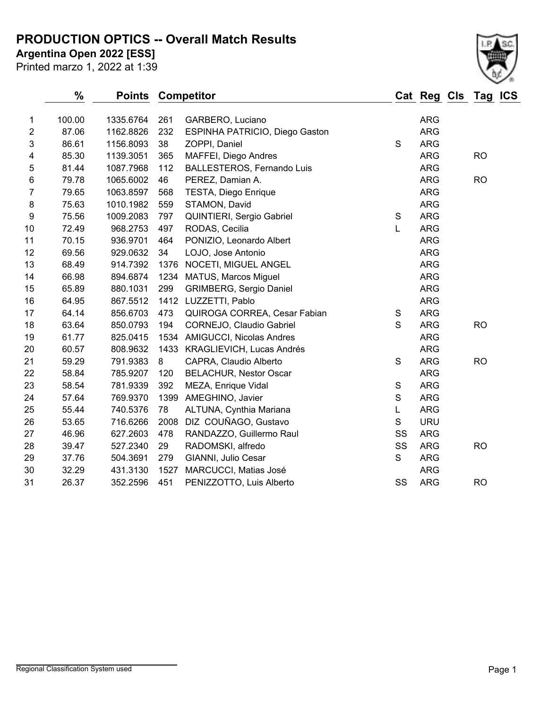#### **PRODUCTION OPTICS -- Overall Match Results**

**Argentina Open 2022 [ESS]**

Printed marzo 1, 2022 at 1:39



|                  | $\frac{0}{0}$ | <b>Points Competitor</b> |      |                                   |             | Cat Reg Cls Tag ICS |           |  |
|------------------|---------------|--------------------------|------|-----------------------------------|-------------|---------------------|-----------|--|
| 1                | 100.00        | 1335.6764                | 261  | GARBERO, Luciano                  |             | <b>ARG</b>          |           |  |
| $\overline{2}$   | 87.06         | 1162.8826                | 232  | ESPINHA PATRICIO, Diego Gaston    |             | <b>ARG</b>          |           |  |
| 3                | 86.61         | 1156.8093                | 38   | ZOPPI, Daniel                     | S           | <b>ARG</b>          |           |  |
| 4                | 85.30         | 1139.3051                | 365  | MAFFEI, Diego Andres              |             | <b>ARG</b>          | <b>RO</b> |  |
| 5                | 81.44         | 1087.7968                | 112  | <b>BALLESTEROS, Fernando Luis</b> |             | <b>ARG</b>          |           |  |
| 6                | 79.78         | 1065.6002                | 46   | PEREZ, Damian A.                  |             | <b>ARG</b>          | <b>RO</b> |  |
| 7                | 79.65         | 1063.8597                | 568  | TESTA, Diego Enrique              |             | <b>ARG</b>          |           |  |
| 8                | 75.63         | 1010.1982                | 559  | STAMON, David                     |             | <b>ARG</b>          |           |  |
| $\boldsymbol{9}$ | 75.56         | 1009.2083                | 797  | QUINTIERI, Sergio Gabriel         | S           | <b>ARG</b>          |           |  |
| 10               | 72.49         | 968.2753                 | 497  | RODAS, Cecilia                    | L           | <b>ARG</b>          |           |  |
| 11               | 70.15         | 936.9701                 | 464  | PONIZIO, Leonardo Albert          |             | <b>ARG</b>          |           |  |
| 12               | 69.56         | 929.0632                 | 34   | LOJO, Jose Antonio                |             | <b>ARG</b>          |           |  |
| 13               | 68.49         | 914.7392                 | 1376 | NOCETI, MIGUEL ANGEL              |             | <b>ARG</b>          |           |  |
| 14               | 66.98         | 894.6874                 | 1234 | <b>MATUS, Marcos Miguel</b>       |             | <b>ARG</b>          |           |  |
| 15               | 65.89         | 880.1031                 | 299  | <b>GRIMBERG, Sergio Daniel</b>    |             | <b>ARG</b>          |           |  |
| 16               | 64.95         | 867.5512                 |      | 1412 LUZZETTI, Pablo              |             | <b>ARG</b>          |           |  |
| 17               | 64.14         | 856.6703                 | 473  | QUIROGA CORREA, Cesar Fabian      | S           | <b>ARG</b>          |           |  |
| 18               | 63.64         | 850.0793                 | 194  | CORNEJO, Claudio Gabriel          | S           | <b>ARG</b>          | <b>RO</b> |  |
| 19               | 61.77         | 825.0415                 |      | 1534 AMIGUCCI, Nicolas Andres     |             | <b>ARG</b>          |           |  |
| 20               | 60.57         | 808.9632                 | 1433 | KRAGLIEVICH, Lucas Andrés         |             | <b>ARG</b>          |           |  |
| 21               | 59.29         | 791.9383                 | 8    | CAPRA, Claudio Alberto            | S           | <b>ARG</b>          | <b>RO</b> |  |
| 22               | 58.84         | 785.9207                 | 120  | <b>BELACHUR, Nestor Oscar</b>     |             | <b>ARG</b>          |           |  |
| 23               | 58.54         | 781.9339                 | 392  | MEZA, Enrique Vidal               | S           | <b>ARG</b>          |           |  |
| 24               | 57.64         | 769.9370                 | 1399 | AMEGHINO, Javier                  | $\mathsf S$ | <b>ARG</b>          |           |  |
| 25               | 55.44         | 740.5376                 | 78   | ALTUNA, Cynthia Mariana           | L           | <b>ARG</b>          |           |  |
| 26               | 53.65         | 716.6266                 | 2008 | DIZ COUÑAGO, Gustavo              | S           | <b>URU</b>          |           |  |
| 27               | 46.96         | 627.2603                 | 478  | RANDAZZO, Guillermo Raul          | SS          | <b>ARG</b>          |           |  |
| 28               | 39.47         | 527.2340                 | 29   | RADOMSKI, alfredo                 | SS          | <b>ARG</b>          | <b>RO</b> |  |
| 29               | 37.76         | 504.3691                 | 279  | GIANNI, Julio Cesar               | $\mathbf S$ | <b>ARG</b>          |           |  |
| 30               | 32.29         | 431.3130                 | 1527 | MARCUCCI, Matias José             |             | <b>ARG</b>          |           |  |
| 31               | 26.37         | 352.2596                 | 451  | PENIZZOTTO, Luis Alberto          | SS          | <b>ARG</b>          | <b>RO</b> |  |
|                  |               |                          |      |                                   |             |                     |           |  |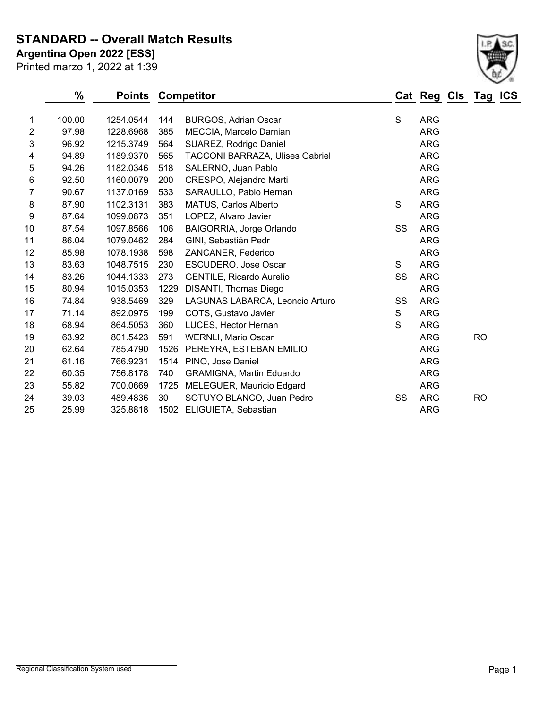**STANDARD -- Overall Match Results**

**Argentina Open 2022 [ESS]**

| ۸ |  |
|---|--|

Printed marzo 1, 2022 at 1:39

|                | $\frac{0}{0}$ | <b>Points Competitor</b> |      |                                 |    | Cat Reg Cls Tag ICS |           |  |
|----------------|---------------|--------------------------|------|---------------------------------|----|---------------------|-----------|--|
| 1              | 100.00        | 1254.0544                | 144  | <b>BURGOS, Adrian Oscar</b>     | S  | <b>ARG</b>          |           |  |
| $\overline{2}$ | 97.98         | 1228.6968                | 385  | MECCIA, Marcelo Damian          |    | <b>ARG</b>          |           |  |
| 3              | 96.92         | 1215.3749                | 564  | SUAREZ, Rodrigo Daniel          |    | <b>ARG</b>          |           |  |
| 4              | 94.89         | 1189.9370                | 565  | TACCONI BARRAZA, Ulises Gabriel |    | <b>ARG</b>          |           |  |
| 5              | 94.26         | 1182.0346                | 518  | SALERNO, Juan Pablo             |    | <b>ARG</b>          |           |  |
| 6              | 92.50         | 1160.0079                | 200  | CRESPO, Alejandro Marti         |    | <b>ARG</b>          |           |  |
| 7              | 90.67         | 1137.0169                | 533  | SARAULLO, Pablo Hernan          |    | <b>ARG</b>          |           |  |
| 8              | 87.90         | 1102.3131                | 383  | <b>MATUS, Carlos Alberto</b>    | S  | <b>ARG</b>          |           |  |
| 9              | 87.64         | 1099.0873                | 351  | LOPEZ, Alvaro Javier            |    | <b>ARG</b>          |           |  |
| 10             | 87.54         | 1097.8566                | 106  | BAIGORRIA, Jorge Orlando        | SS | <b>ARG</b>          |           |  |
| 11             | 86.04         | 1079.0462                | 284  | GINI, Sebastián Pedr            |    | <b>ARG</b>          |           |  |
| 12             | 85.98         | 1078.1938                | 598  | ZANCANER, Federico              |    | <b>ARG</b>          |           |  |
| 13             | 83.63         | 1048.7515                | 230  | ESCUDERO, Jose Oscar            | S  | <b>ARG</b>          |           |  |
| 14             | 83.26         | 1044.1333                | 273  | <b>GENTILE, Ricardo Aurelio</b> | SS | <b>ARG</b>          |           |  |
| 15             | 80.94         | 1015.0353                | 1229 | DISANTI, Thomas Diego           |    | <b>ARG</b>          |           |  |
| 16             | 74.84         | 938.5469                 | 329  | LAGUNAS LABARCA, Leoncio Arturo | SS | <b>ARG</b>          |           |  |
| 17             | 71.14         | 892.0975                 | 199  | COTS, Gustavo Javier            | S  | <b>ARG</b>          |           |  |
| 18             | 68.94         | 864.5053                 | 360  | LUCES, Hector Hernan            | S  | <b>ARG</b>          |           |  |
| 19             | 63.92         | 801.5423                 | 591  | <b>WERNLI, Mario Oscar</b>      |    | <b>ARG</b>          | <b>RO</b> |  |
| 20             | 62.64         | 785.4790                 | 1526 | PEREYRA, ESTEBAN EMILIO         |    | <b>ARG</b>          |           |  |
| 21             | 61.16         | 766.9231                 |      | 1514 PINO, Jose Daniel          |    | <b>ARG</b>          |           |  |
| 22             | 60.35         | 756.8178                 | 740  | <b>GRAMIGNA, Martin Eduardo</b> |    | <b>ARG</b>          |           |  |
| 23             | 55.82         | 700.0669                 | 1725 | MELEGUER, Mauricio Edgard       |    | <b>ARG</b>          |           |  |
| 24             | 39.03         | 489.4836                 | 30   | SOTUYO BLANCO, Juan Pedro       | SS | <b>ARG</b>          | <b>RO</b> |  |
| 25             | 25.99         | 325.8818                 |      | 1502 ELIGUIETA, Sebastian       |    | <b>ARG</b>          |           |  |